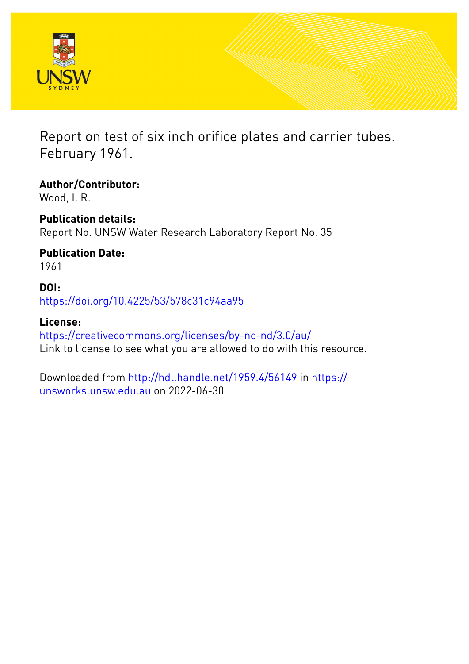



Report on test of six inch orifice plates and carrier tubes. February 1961.

**Author/Contributor:** Wood, I. R.

**Publication details:** Report No. UNSW Water Research Laboratory Report No. 35

**Publication Date:** 1961

**DOI:** [https://doi.org/10.4225/53/578c31c94aa95](http://dx.doi.org/https://doi.org/10.4225/53/578c31c94aa95)

**License:** <https://creativecommons.org/licenses/by-nc-nd/3.0/au/> Link to license to see what you are allowed to do with this resource.

Downloaded from <http://hdl.handle.net/1959.4/56149> in [https://](https://unsworks.unsw.edu.au) [unsworks.unsw.edu.au](https://unsworks.unsw.edu.au) on 2022-06-30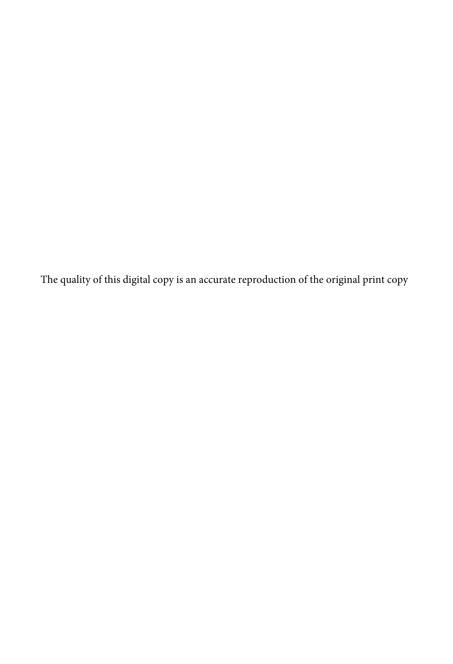The quality of this digital copy is an accurate reproduction of the original print copy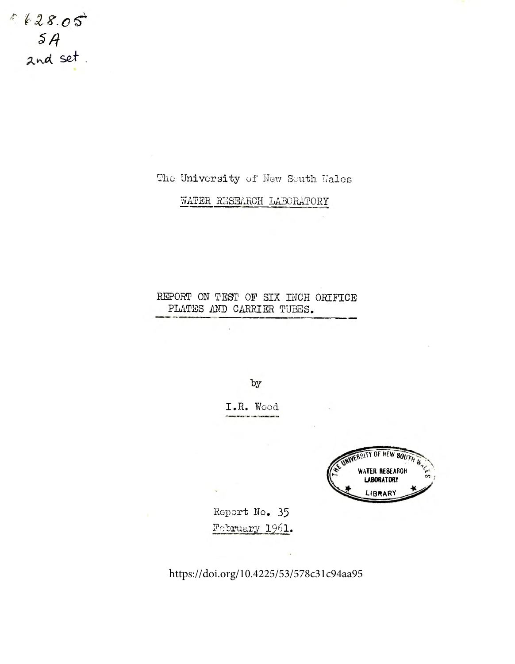$1628.05$  $5A$ <br>and set.

# The University of New South Wales

WATER RESEARCH LABORATORY

# REPORT ON TEST OF SIX INCH ORIFICE PLATES AND CARRIER TUBES.

by

I.R. Wood



Report No. 35 February 1961.

https://doi.org/10.4225/53/578c31c94aa95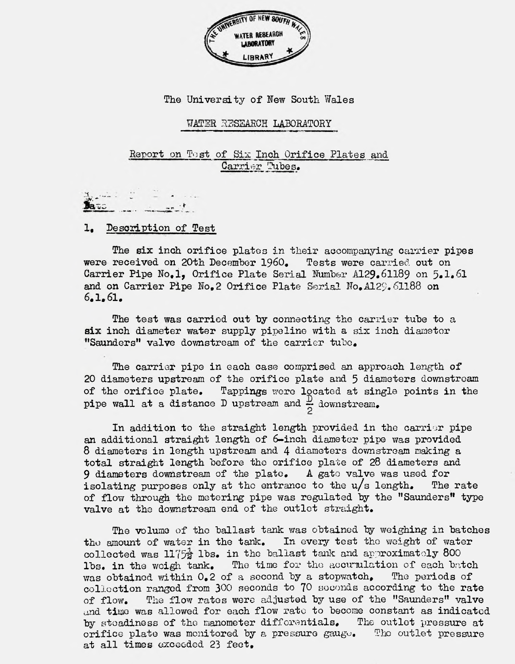

### The University of New South Wales

#### WATER RESEARCH LABORATORY

## Report on Tost of Six Inch Orifice Plates and Carrier Tubes.

#### Description of Test

The six inch orifice plates in their accompanying carrier pipes received on 20th December 1960. Tests were carried out on were received on 20th December 1960. Carrier Pipe No.1, Orifice Plate Serial Number A129.61189 on 5.1.61 and on Carrier Pipe No.2 Orifice Plate Serial No. A129. 61188 on 6,1,61,

The test was carried out by connecting the carrier tube to a six inch diameter water supply pipeline with a six inch diameter "Saunders" valve downstream of the carrier tube.

The carrier pipe in each case comprised an approach length of 20 diameters upstream of the orifice plate and 5 diameters downstream of the orifice plate. Tappings were located at single points in the pipe wall at a distance D upstream and  $\frac{D}{D}$  downstream.

In addition to the straight length provided in the carrier pipe an additional straight length of 6-inch diameter pipe was provided 8 diameters in length upstream and 4 diameters downstream making a total straight length before the orifice plate of  $28$  diameters and  $9$  diameters downstream of the plate. A gate valve was used for 9 diameters downstream of the plate. isolating purposes only at the entrance to the  $u/s$  length. The rate of flow through the metering pipe was regulated by the "Saunders" type valve at the downstream end of the outlet straight.

The volume of the ballast tank was obtained by weighing in batches the amount of water in the tank. In every test the weight of water collected was 1175 $\frac{1}{2}$  lbs. in the ballast tank and approximately 800 lbs. in the weigh tank. The time for the accumulation of each batch was obtained within  $0.2$  of a second by a stopwatch. The periods of was obtained within  $0.2$  of a second by a stopwatch. collection ranged from  $300$  seconds to  $70$  seconds according to the rate of flow. The flow rates were adjusted by use of the "Saunders" valve and time was allowed for each flow rate to become constant as indicated by stoadiness of the manometer differentials. The outlet pressure at by steadiness of the manometer differentials. orifice plate was monitored by a pressure gauge. The outlet pressure at all times exceeded 23 feet.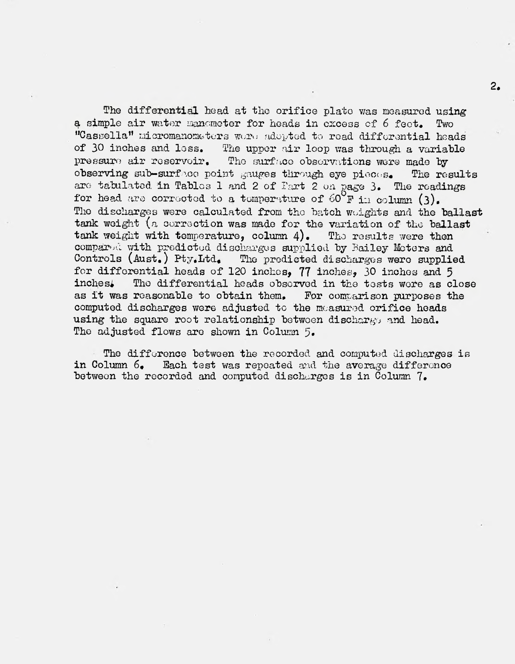The differential head at the orifice plate was measured using a simple air water manometer for heads in excess of 6 feet. Two "Cassella" micromanometers wore adopted to read differential heads of 30 inches and less. The upper air loop was through a variable The upper air loop was through a variable pressure air reservoir. The surface observations were made by observing sub-surface point gauges through eye pieces. The results are tabulated in Tables 1 and 2 of Fart 2 on page 3. The readings for head are corrected to a temperature of  $60^{\circ}$ F in column (3). The discharges were calculated from the batch weights and the ballast tank weight (a correction was made for the variation of the ballast tank weight with temperature, column  $4$ ). The results were then compared with predicted discharges supplied by Bailey Moters and Controls (Aust.) Pty.Itd. The predicted discharges were supplied The predicted discharges were supplied for differential heads of 120 inches,  $77$  inches, 30 inches and 5 inches. The differential heads observed in the tests were as  $\alpha$ The differential heads observed in the tests wore as close reasonable to obtain them. For comparison purposes the as it was reasonable to obtain them. computed discharges were adjusted to the measured orifice heads using the square root relationship between discharge and head. The adjusted flows are shown in Column 5.

The difference between the recorded and computed discharges is in Column 6. Each test was repeated and the average difference between the recorded and computed discharges is in Column  $7.$ 

**2.**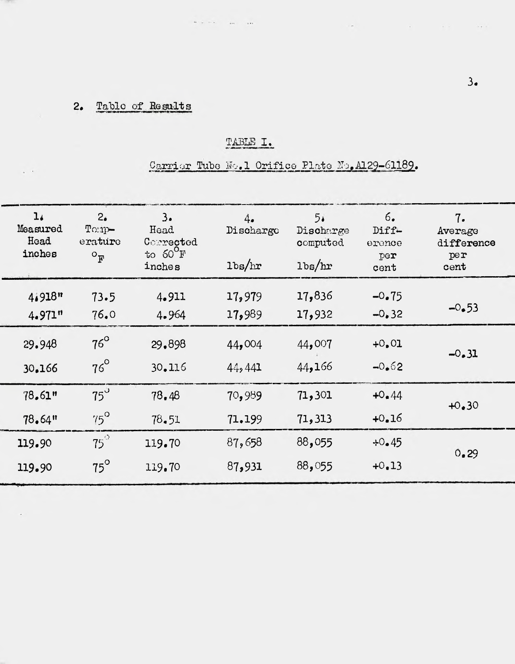#### $2.$ Table of Results

 $\sim$   $\sim$ 

 $\sim$ 

# TABLE I.

 $\label{eq:10} \begin{array}{lllllllllll} \alpha_{\rm{max}} & \alpha_{\rm{max}} & \alpha_{\rm{max}} & \alpha_{\rm{max}} & \alpha_{\rm{max}} \end{array}$ 

# Carrier Tube No.1 Orifice Plate No. A129-61189.

| 1.4<br>Measured<br>Head<br>inches | 2.5<br>$T$ orap-<br>erature<br>$O_{\overline{R}}$ | 3.<br>Head<br>Corrected<br>to $60^{\circ}$ F<br>inches | 4.<br>Discharge<br>$1b$ s/hr | 5.1<br>Discharge<br>computed<br>$1b$ s/hr | 6.<br>Diff-<br>erence<br>$\mathbf{per}$<br>cent | 7.<br>Average<br>difference<br>per<br>cent |
|-----------------------------------|---------------------------------------------------|--------------------------------------------------------|------------------------------|-------------------------------------------|-------------------------------------------------|--------------------------------------------|
| $41918$ "                         | 73.5                                              | 4.911                                                  | 17,979                       | 17,836                                    | $-0.75$                                         | $-0.53$                                    |
| 4.971"                            | 76.0                                              | 4.964                                                  | 17,989                       | 17,932                                    | $-0.32$                                         |                                            |
| 29.948                            | $76^\circ$                                        | 29,898                                                 | 44,004                       | 44,007                                    | $+0.01$                                         | $-0.31$                                    |
| 30.166                            | $76^\circ$                                        | 30.116                                                 | 44,441                       | 44,166                                    | $-0.62$                                         |                                            |
| 78.61"                            | $75^\circ$                                        | 78.48                                                  | 70,989                       | 71,301                                    | $+0.44$                                         | $+0.30$                                    |
| 78.64"                            | $75^\circ$                                        | 78.51                                                  | 71.199                       | 71,313                                    | $+0.16$                                         |                                            |
| 119.90                            | $75^\circ$                                        | 119.70                                                 | 87,658                       | 88,055                                    | $+0.45$                                         |                                            |
| 119.90                            | $75^\circ$                                        | 119.70                                                 | 87,931                       | 88,055                                    | $+0.13$                                         | 0.29                                       |

seeking the company of the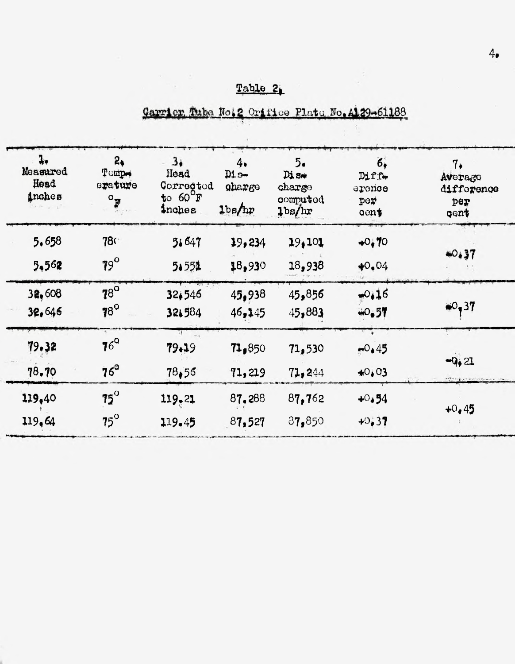# Table 2

한 명이다.<br>기계 : 100

# Carrier Tube No.2 Orifice Plate No. A129-61188

| $\ddagger$<br>Measured<br>Head<br>inches | 2 <sub>1</sub><br>Tompo<br>erature<br>$\circ_{\overline{B}}$ | 3 <sub>1</sub><br>Head<br>Corrected<br>$t$ 60 $F$<br>inches | 4.<br>D1s<br>gharge<br>1 <sub>bg</sub> /hr | 5.<br>Dis<br>charge<br>computed<br>1 <sub>bs</sub> /hr | 6,<br>$Diff+$<br>ercrice<br>per<br>gent <sub>s</sub> | $7\ast$<br>Averago<br>difforence<br>per<br>gent |
|------------------------------------------|--------------------------------------------------------------|-------------------------------------------------------------|--------------------------------------------|--------------------------------------------------------|------------------------------------------------------|-------------------------------------------------|
| 5,658                                    | <b>780</b>                                                   | 51647                                                       | 19,234                                     | 19,101                                                 | $+0.70$                                              | 40.37                                           |
| 5,562                                    | $79^\circ$                                                   | 5.551                                                       | 18,930                                     | 18,938                                                 | $*0.04$                                              |                                                 |
| 32,608                                   | <b>78°</b>                                                   | 32,546                                                      | 45,938                                     | 45,856                                                 | $-0.16$                                              | $*0,37$                                         |
| 32,646                                   | $78^\circ$                                                   | 321584                                                      | 46,145                                     | 45,883                                                 | 40.57                                                |                                                 |
| 79.32                                    | $76^{\circ}$                                                 | 79.19                                                       | 71,850                                     | 71,530                                                 | $-0.45$                                              | $-9,21$<br>allowing price                       |
| 78.70                                    | $76^\circ$                                                   | 78,56                                                       | 71,219                                     | 71,244                                                 | $+0,03$                                              |                                                 |
| 119.40                                   | $75^\circ$                                                   | 119,21                                                      | 87.288                                     | 87,762                                                 | $+0.54$                                              | $+0.45$                                         |
| 119,64                                   | $75^\circ$                                                   | 119.45                                                      | 87,527                                     | 87,850                                                 | $+0.37$                                              |                                                 |
|                                          |                                                              |                                                             |                                            |                                                        |                                                      |                                                 |

 $4.1$